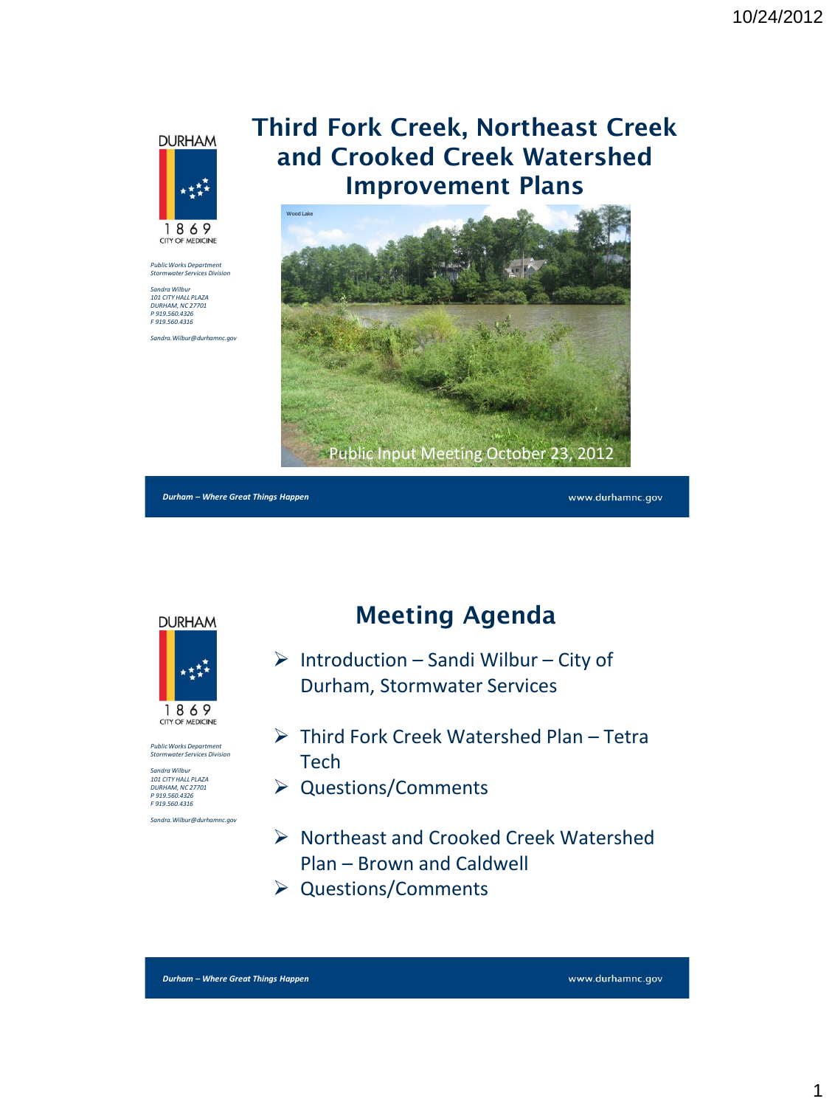





*Sandra Wilbur 101 CITY HALL PLAZA DURHAM, NC 27701 P 919.560.4326 F 919.560.4316*

*Sandra.Wilbur@durhamnc.gov*

## **Third Fork Creek, Northeast Creek and Crooked Creek Watershed Improvement Plans**



*Durham – Where Great Things Happen*

www.durhamnc.gov



*Public Works Department Stormwater Services Division*

*Sandra Wilbur 101 CITY HALL PLAZA DURHAM, NC 27701 P 919.560.4326 F 919.560.4316 Sandra.Wilbur@durhamnc.gov* **Meeting Agenda**

- $\triangleright$  Introduction Sandi Wilbur City of Durham, Stormwater Services
- Third Fork Creek Watershed Plan Tetra **Tech**
- ▶ Questions/Comments
- ▶ Northeast and Crooked Creek Watershed Plan – Brown and Caldwell
- Questions/Comments